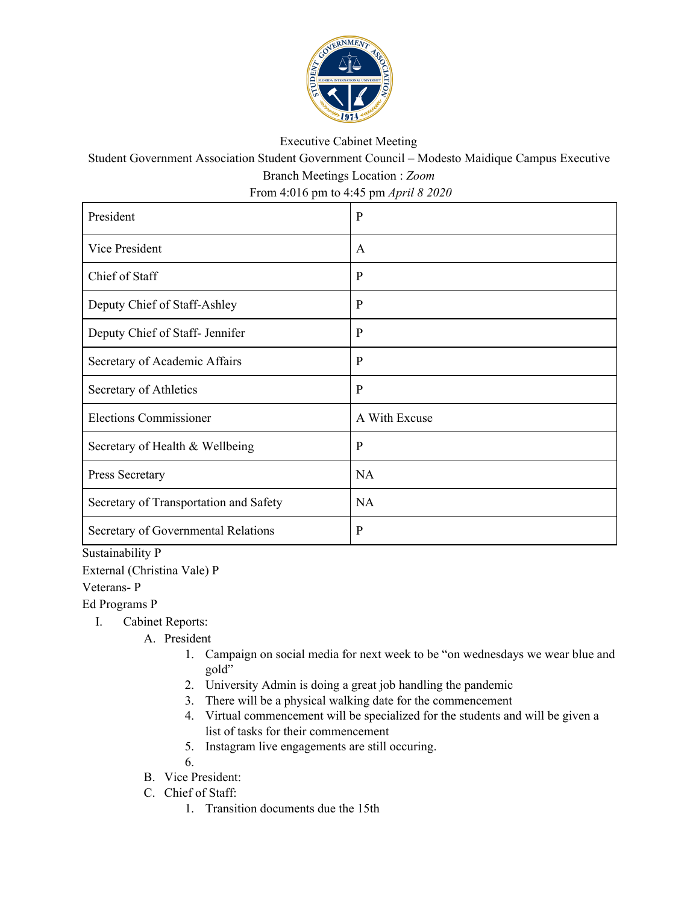

## Executive Cabinet Meeting

Student Government Association Student Government Council – Modesto Maidique Campus Executive Branch Meetings Location : *Zoom*

From 4:016 pm to 4:45 pm *April 8 2020*

| President                              | $\mathbf{P}$  |
|----------------------------------------|---------------|
| Vice President                         | $\mathsf{A}$  |
| Chief of Staff                         | P             |
| Deputy Chief of Staff-Ashley           | $\mathbf{P}$  |
| Deputy Chief of Staff- Jennifer        | P             |
| Secretary of Academic Affairs          | $\mathbf{P}$  |
| Secretary of Athletics                 | $\mathbf{P}$  |
| <b>Elections Commissioner</b>          | A With Excuse |
| Secretary of Health & Wellbeing        | $\mathbf{P}$  |
| Press Secretary                        | <b>NA</b>     |
| Secretary of Transportation and Safety | <b>NA</b>     |
| Secretary of Governmental Relations    | $\mathbf{P}$  |

Sustainability P

External (Christina Vale) P

Veterans- P

Ed Programs P

- I. Cabinet Reports:
	- A. President
		- 1. Campaign on social media for next week to be "on wednesdays we wear blue and gold"
		- 2. University Admin is doing a great job handling the pandemic
		- 3. There will be a physical walking date for the commencement
		- 4. Virtual commencement will be specialized for the students and will be given a list of tasks for their commencement
		- 5. Instagram live engagements are still occuring.

6.

- B. Vice President:
- C. Chief of Staff:
	- 1. Transition documents due the 15th